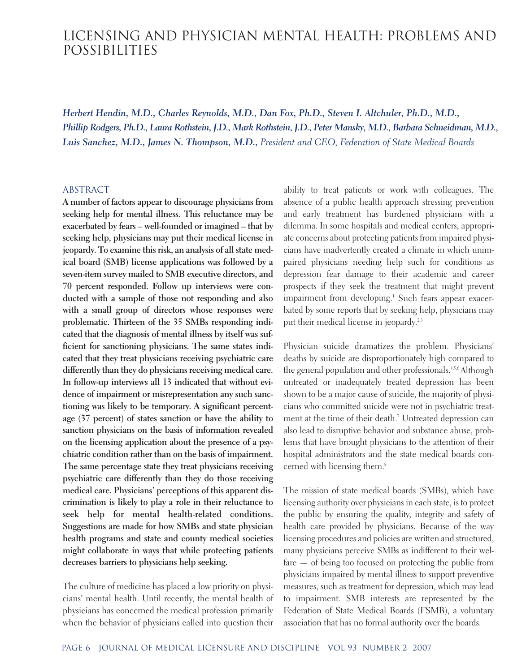# LICENSING AND PHYSICIAN MENTAL HEALTH: PROBLEMS AND POSSIBILITIES

*Herbert Hendin, M.D., Charles Reynolds, M.D., Dan Fox, Ph.D., Steven I. Altchuler, Ph.D., M.D., Phillip Rodgers, Ph.D., Laura Rothstein, J.D., Mark Rothstein, J.D., Peter Mansky, M.D., Barbara Schneidman, M.D., Luis Sanchez, M.D., James N. Thompson, M.D., President and CEO, Federation of State Medical Boards*

#### ABSTRACT

**A number of factors appear to discourage physicians from seeking help for mental illness. This reluctance may be exacerbated by fears – well-founded or imagined – that by seeking help, physicians may put their medical license in jeopardy. To examine this risk, an analysis of all state medical board (SMB) license applications was followed by a seven-item survey mailed to SMB executive directors, and 70 percent responded. Follow up interviews were conducted with a sample of those not responding and also with a small group of directors whose responses were problematic. Thirteen of the 35 SMBs responding indicated that the diagnosis of mental illness by itself was sufficient for sanctioning physicians. The same states indicated that they treat physicians receiving psychiatric care differently than they do physicians receiving medical care. In follow-up interviews all 13 indicated that without evidence of impairment or misrepresentation any such sanctioning was likely to be temporary. A significant percentage (37 percent) of states sanction or have the ability to sanction physicians on the basis of information revealed on the licensing application about the presence of a psychiatric condition rather than on the basis of impairment. The same percentage state they treat physicians receiving psychiatric care differently than they do those receiving medical care. Physicians' perceptions of this apparent discrimination is likely to play a role in their reluctance to seek help for mental health-related conditions. Suggestions are made for how SMBs and state physician health programs and state and county medical societies might collaborate in ways that while protecting patients decreases barriers to physicians help seeking.**

The culture of medicine has placed a low priority on physicians' mental health. Until recently, the mental health of physicians has concerned the medical profession primarily when the behavior of physicians called into question their ability to treat patients or work with colleagues. The absence of a public health approach stressing prevention and early treatment has burdened physicians with a dilemma. In some hospitals and medical centers, appropriate concerns about protecting patients from impaired physicians have inadvertently created a climate in which unimpaired physicians needing help such for conditions as depression fear damage to their academic and career prospects if they seek the treatment that might prevent impairment from developing.<sup>1</sup> Such fears appear exacerbated by some reports that by seeking help, physicians may put their medical license in jeopardy.<sup>2,3</sup>

Physician suicide dramatizes the problem. Physicians' deaths by suicide are disproportionately high compared to the general population and other professionals.<sup>4,5,6</sup> Although untreated or inadequately treated depression has been shown to be a major cause of suicide, the majority of physicians who committed suicide were not in psychiatric treatment at the time of their death.<sup>7</sup> Untreated depression can also lead to disruptive behavior and substance abuse, problems that have brought physicians to the attention of their hospital administrators and the state medical boards concerned with licensing them.<sup>8</sup>

The mission of state medical boards (SMBs), which have licensing authority over physicians in each state, is to protect the public by ensuring the quality, integrity and safety of health care provided by physicians. Because of the way licensing procedures and policies are written and structured, many physicians perceive SMBs as indifferent to their welfare — of being too focused on protecting the public from physicians impaired by mental illness to support preventive measures, such as treatment for depression, which may lead to impairment. SMB interests are represented by the Federation of State Medical Boards (FSMB), a voluntary association that has no formal authority over the boards.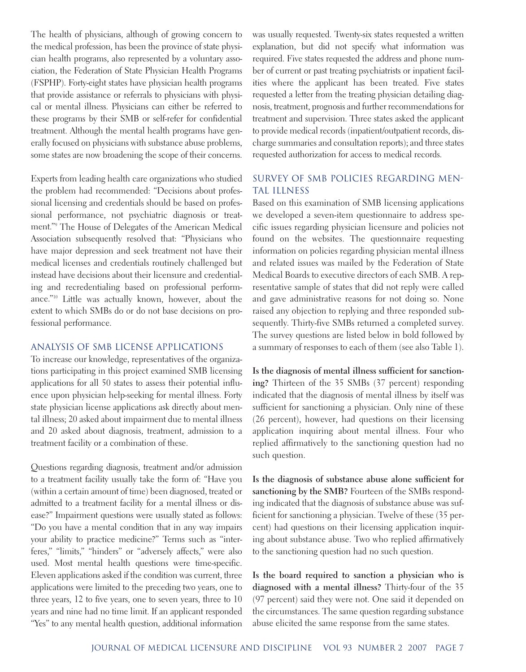The health of physicians, although of growing concern to the medical profession, has been the province of state physician health programs, also represented by a voluntary association, the Federation of State Physician Health Programs (FSPHP). Forty-eight states have physician health programs that provide assistance or referrals to physicians with physical or mental illness. Physicians can either be referred to these programs by their SMB or self-refer for confidential treatment. Although the mental health programs have generally focused on physicians with substance abuse problems, some states are now broadening the scope of their concerns.

Experts from leading health care organizations who studied the problem had recommended: "Decisions about professional licensing and credentials should be based on professional performance, not psychiatric diagnosis or treatment."9 The House of Delegates of the American Medical Association subsequently resolved that: "Physicians who have major depression and seek treatment not have their medical licenses and credentials routinely challenged but instead have decisions about their licensure and credentialing and recredentialing based on professional performance."10 Little was actually known, however, about the extent to which SMBs do or do not base decisions on professional performance.

#### ANALYSIS OF SMB LICENSE APPLICATIONS

To increase our knowledge, representatives of the organizations participating in this project examined SMB licensing applications for all 50 states to assess their potential influence upon physician help-seeking for mental illness. Forty state physician license applications ask directly about mental illness; 20 asked about impairment due to mental illness and 20 asked about diagnosis, treatment, admission to a treatment facility or a combination of these.

Questions regarding diagnosis, treatment and/or admission to a treatment facility usually take the form of: "Have you (within a certain amount of time) been diagnosed, treated or admitted to a treatment facility for a mental illness or disease?" Impairment questions were usually stated as follows: "Do you have a mental condition that in any way impairs your ability to practice medicine?" Terms such as "interferes," "limits," "hinders" or "adversely affects," were also used. Most mental health questions were time-specific. Eleven applications asked if the condition was current, three applications were limited to the preceding two years, one to three years, 12 to five years, one to seven years, three to 10 years and nine had no time limit. If an applicant responded "Yes" to any mental health question, additional information

was usually requested. Twenty-six states requested a written explanation, but did not specify what information was required. Five states requested the address and phone number of current or past treating psychiatrists or inpatient facilities where the applicant has been treated. Five states requested a letter from the treating physician detailing diagnosis, treatment, prognosis and further recommendations for treatment and supervision. Three states asked the applicant to provide medical records (inpatient/outpatient records, discharge summaries and consultation reports); and three states requested authorization for access to medical records.

# SURVEY OF SMB POLICIES REGARDING MEN-TAL ILLNESS

Based on this examination of SMB licensing applications we developed a seven-item questionnaire to address specific issues regarding physician licensure and policies not found on the websites. The questionnaire requesting information on policies regarding physician mental illness and related issues was mailed by the Federation of State Medical Boards to executive directors of each SMB. A representative sample of states that did not reply were called and gave administrative reasons for not doing so. None raised any objection to replying and three responded subsequently. Thirty-five SMBs returned a completed survey. The survey questions are listed below in bold followed by a summary of responses to each of them (see also Table 1).

**Is the diagnosis of mental illness sufficient for sanctioning?** Thirteen of the 35 SMBs (37 percent) responding indicated that the diagnosis of mental illness by itself was sufficient for sanctioning a physician. Only nine of these (26 percent), however, had questions on their licensing application inquiring about mental illness. Four who replied affirmatively to the sanctioning question had no such question.

**Is the diagnosis of substance abuse alone sufficient for sanctioning by the SMB?** Fourteen of the SMBs responding indicated that the diagnosis of substance abuse was sufficient for sanctioning a physician. Twelve of these (35 percent) had questions on their licensing application inquiring about substance abuse. Two who replied affirmatively to the sanctioning question had no such question.

**Is the board required to sanction a physician who is diagnosed with a mental illness?** Thirty-four of the 35 (97 percent) said they were not. One said it depended on the circumstances. The same question regarding substance abuse elicited the same response from the same states.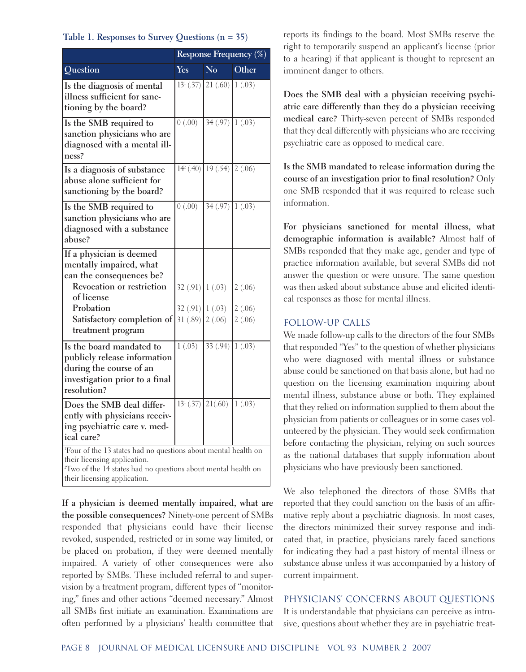#### **Table 1. Responses to Survey Questions (n = 35)**

|                                                                                                                                                                                                                         | Response Frequency (%)  |                                |                  |
|-------------------------------------------------------------------------------------------------------------------------------------------------------------------------------------------------------------------------|-------------------------|--------------------------------|------------------|
| <b>Question</b>                                                                                                                                                                                                         | <b>Yes</b>              | No.                            | Other            |
| Is the diagnosis of mental<br>illness sufficient for sanc-<br>tioning by the board?                                                                                                                                     |                         | $13^{1}(.37)$ 21 (.60)         | 1(.03)           |
| Is the SMB required to<br>sanction physicians who are<br>diagnosed with a mental ill-<br>ness?                                                                                                                          | $\frac{1}{0(0.00)}$     | 34(.97) 1(.03)                 |                  |
| Is a diagnosis of substance<br>abuse alone sufficient for<br>sanctioning by the board?                                                                                                                                  |                         | $14^{2}(.40)$ 19 (.54) 2 (.06) |                  |
| Is the SMB required to<br>sanction physicians who are<br>diagnosed with a substance<br>abuse?                                                                                                                           | (0.00)                  | 34(.97)                        | 1(.03)           |
| If a physician is deemed<br>mentally impaired, what<br>can the consequences be?<br>Revocation or restriction<br>of license                                                                                              | $32(.91)$ $(0.03)$      |                                | 2(.06)           |
| Probation<br>Satisfactory completion of<br>treatment program                                                                                                                                                            | 32(.91)<br>31(.89)      | 1(.03)<br>2(.06)               | 2(.06)<br>2(.06) |
| Is the board mandated to<br>publicly release information<br>during the course of an<br>investigation prior to a final<br>resolution?                                                                                    | 1(.03)                  | 33(.94)                        | 1(.03)           |
| Does the SMB deal differ-<br>ently with physicians receiv-<br>ing psychiatric care v. med-<br>ical care?                                                                                                                | $13^{1}(.37)$ $21(.60)$ |                                | 1(.03)           |
| <sup>1</sup> Four of the 13 states had no questions about mental health on<br>their licensing application.<br><sup>2</sup> Two of the 14 states had no questions about mental health on<br>their licensing application. |                         |                                |                  |

**If a physician is deemed mentally impaired, what are the possible consequences?** Ninety-one percent of SMBs responded that physicians could have their license revoked, suspended, restricted or in some way limited, or be placed on probation, if they were deemed mentally impaired. A variety of other consequences were also reported by SMBs. These included referral to and supervision by a treatment program, different types of "monitoring," fines and other actions "deemed necessary." Almost all SMBs first initiate an examination. Examinations are often performed by a physicians' health committee that

reports its findings to the board. Most SMBs reserve the right to temporarily suspend an applicant's license (prior to a hearing) if that applicant is thought to represent an imminent danger to others.

**Does the SMB deal with a physician receiving psychiatric care differently than they do a physician receiving medical care?** Thirty-seven percent of SMBs responded that they deal differently with physicians who are receiving psychiatric care as opposed to medical care.

**Is the SMB mandated to release information during the course of an investigation prior to final resolution?** Only one SMB responded that it was required to release such information.

**For physicians sanctioned for mental illness, what demographic information is available?** Almost half of SMBs responded that they make age, gender and type of practice information available, but several SMBs did not answer the question or were unsure. The same question was then asked about substance abuse and elicited identical responses as those for mental illness.

## FOLLOW-UP CALLS

We made follow-up calls to the directors of the four SMBs that responded "Yes" to the question of whether physicians who were diagnosed with mental illness or substance abuse could be sanctioned on that basis alone, but had no question on the licensing examination inquiring about mental illness, substance abuse or both. They explained that they relied on information supplied to them about the physician from patients or colleagues or in some cases volunteered by the physician. They would seek confirmation before contacting the physician, relying on such sources as the national databases that supply information about physicians who have previously been sanctioned.

We also telephoned the directors of those SMBs that reported that they could sanction on the basis of an affirmative reply about a psychiatric diagnosis. In most cases, the directors minimized their survey response and indicated that, in practice, physicians rarely faced sanctions for indicating they had a past history of mental illness or substance abuse unless it was accompanied by a history of current impairment.

## PHYSICIANS' CONCERNS ABOUT QUESTIONS

It is understandable that physicians can perceive as intrusive, questions about whether they are in psychiatric treat-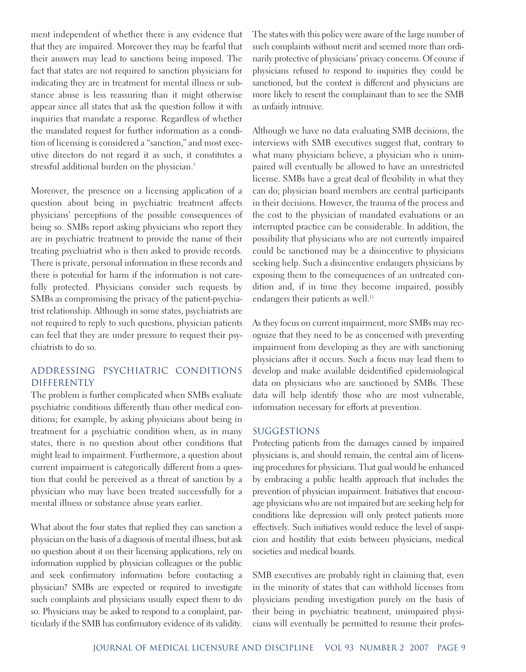ment independent of whether there is any evidence that that they are impaired. Moreover they may be fearful that their answers may lead to sanctions being imposed. The fact that states are not required to sanction physicians for indicating they are in treatment for mental illness or substance abuse is less reassuring than it might otherwise appear since all states that ask the question follow it with inquiries that mandate a response. Regardless of whether the mandated request for further information as a condition of licensing is considered a "sanction," and most executive directors do not regard it as such, it constitutes a stressful additional burden on the physician.<sup>3</sup>

Moreover, the presence on a licensing application of a question about being in psychiatric treatment affects physicians' perceptions of the possible consequences of being so. SMBs report asking physicians who report they are in psychiatric treatment to provide the name of their treating psychiatrist who is then asked to provide records. There is private, personal information in these records and there is potential for harm if the information is not carefully protected. Physicians consider such requests by SMBs as compromising the privacy of the patient-psychiatrist relationship. Although in some states, psychiatrists are not required to reply to such questions, physician patients can feel that they are under pressure to request their psychiatrists to do so.

# ADDRESSING PSYCHIATRIC CONDITIONS DIFFERENTLY

The problem is further complicated when SMBs evaluate psychiatric conditions differently than other medical conditions; for example, by asking physicians about being in treatment for a psychiatric condition when, as in many states, there is no question about other conditions that might lead to impairment. Furthermore, a question about current impairment is categorically different from a question that could be perceived as a threat of sanction by a physician who may have been treated successfully for a mental illness or substance abuse years earlier.

What about the four states that replied they can sanction a physician on the basis of a diagnosis of mental illness, but ask no question about it on their licensing applications, rely on information supplied by physician colleagues or the public and seek confirmatory information before contacting a physician? SMBs are expected or required to investigate such complaints and physicians usually expect them to do so. Physicians may be asked to respond to a complaint, particularly if the SMB has confirmatory evidence of its validity.

The states with this policy were aware of the large number of such complaints without merit and seemed more than ordinarily protective of physicians' privacy concerns. Of course if physicians refused to respond to inquiries they could be sanctioned, but the context is different and physicians are more likely to resent the complainant than to see the SMB as unfairly intrusive.

Although we have no data evaluating SMB decisions, the interviews with SMB executives suggest that, contrary to what many physicians believe, a physician who is unimpaired will eventually be allowed to have an unrestricted license. SMBs have a great deal of flexibility in what they can do; physician board members are central participants in their decisions. However, the trauma of the process and the cost to the physician of mandated evaluations or an interrupted practice can be considerable. In addition, the possibility that physicians who are not currently impaired could be sanctioned may be a disincentive to physicians seeking help. Such a disincentive endangers physicians by exposing them to the consequences of an untreated condition and, if in time they become impaired, possibly endangers their patients as well.<sup>11</sup>

As they focus on current impairment, more SMBs may recognize that they need to be as concerned with preventing impairment from developing as they are with sanctioning physicians after it occurs. Such a focus may lead them to develop and make available deidentified epidemiological data on physicians who are sanctioned by SMBs. These data will help identify those who are most vulnerable, information necessary for efforts at prevention.

## SUGGESTIONS

Protecting patients from the damages caused by impaired physicians is, and should remain, the central aim of licensing procedures for physicians. That goal would be enhanced by embracing a public health approach that includes the prevention of physician impairment. Initiatives that encourage physicians who are not impaired but are seeking help for conditions like depression will only protect patients more effectively. Such initiatives would reduce the level of suspicion and hostility that exists between physicians, medical societies and medical boards.

SMB executives are probably right in claiming that, even in the minority of states that can withhold licenses from physicians pending investigation purely on the basis of their being in psychiatric treatment, unimpaired physicians will eventually be permitted to resume their profes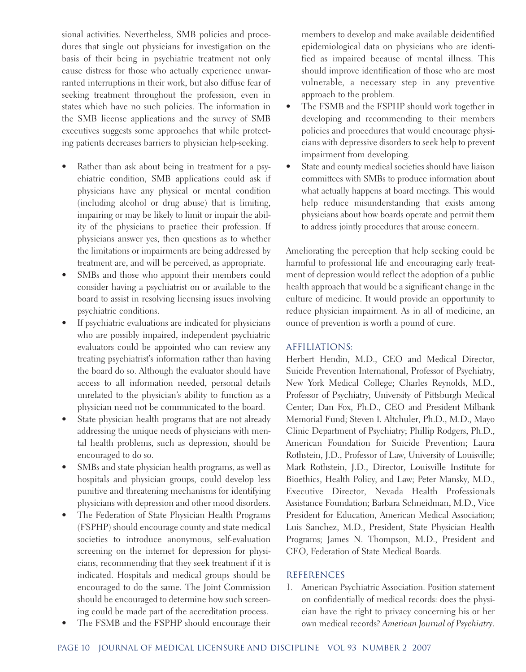sional activities. Nevertheless, SMB policies and procedures that single out physicians for investigation on the basis of their being in psychiatric treatment not only cause distress for those who actually experience unwarranted interruptions in their work, but also diffuse fear of seeking treatment throughout the profession, even in states which have no such policies. The information in the SMB license applications and the survey of SMB executives suggests some approaches that while protecting patients decreases barriers to physician help-seeking.

- Rather than ask about being in treatment for a psychiatric condition, SMB applications could ask if physicians have any physical or mental condition (including alcohol or drug abuse) that is limiting, impairing or may be likely to limit or impair the ability of the physicians to practice their profession. If physicians answer yes, then questions as to whether the limitations or impairments are being addressed by treatment are, and will be perceived, as appropriate.
- SMBs and those who appoint their members could consider having a psychiatrist on or available to the board to assist in resolving licensing issues involving psychiatric conditions.
- If psychiatric evaluations are indicated for physicians who are possibly impaired, independent psychiatric evaluators could be appointed who can review any treating psychiatrist's information rather than having the board do so. Although the evaluator should have access to all information needed, personal details unrelated to the physician's ability to function as a physician need not be communicated to the board.
- State physician health programs that are not already addressing the unique needs of physicians with mental health problems, such as depression, should be encouraged to do so.
- SMBs and state physician health programs, as well as hospitals and physician groups, could develop less punitive and threatening mechanisms for identifying physicians with depression and other mood disorders.
- The Federation of State Physician Health Programs (FSPHP) should encourage county and state medical societies to introduce anonymous, self-evaluation screening on the internet for depression for physicians, recommending that they seek treatment if it is indicated. Hospitals and medical groups should be encouraged to do the same. The Joint Commission should be encouraged to determine how such screening could be made part of the accreditation process.
- The FSMB and the FSPHP should encourage their

members to develop and make available deidentified epidemiological data on physicians who are identified as impaired because of mental illness. This should improve identification of those who are most vulnerable, a necessary step in any preventive approach to the problem.

- The FSMB and the FSPHP should work together in developing and recommending to their members policies and procedures that would encourage physicians with depressive disorders to seek help to prevent impairment from developing.
- State and county medical societies should have liaison committees with SMBs to produce information about what actually happens at board meetings. This would help reduce misunderstanding that exists among physicians about how boards operate and permit them to address jointly procedures that arouse concern.

Ameliorating the perception that help seeking could be harmful to professional life and encouraging early treatment of depression would reflect the adoption of a public health approach that would be a significant change in the culture of medicine. It would provide an opportunity to reduce physician impairment. As in all of medicine, an ounce of prevention is worth a pound of cure.

# AFFILIATIONS:

Herbert Hendin, M.D., CEO and Medical Director, Suicide Prevention International, Professor of Psychiatry, New York Medical College; Charles Reynolds, M.D., Professor of Psychiatry, University of Pittsburgh Medical Center; Dan Fox, Ph.D., CEO and President Milbank Memorial Fund; Steven I. Altchuler, Ph.D., M.D., Mayo Clinic Department of Psychiatry; Phillip Rodgers, Ph.D., American Foundation for Suicide Prevention; Laura Rothstein, J.D., Professor of Law, University of Louisville; Mark Rothstein, J.D., Director, Louisville Institute for Bioethics, Health Policy, and Law; Peter Mansky, M.D., Executive Director, Nevada Health Professionals Assistance Foundation; Barbara Schneidman, M.D., Vice President for Education, American Medical Association; Luis Sanchez, M.D., President, State Physician Health Programs; James N. Thompson, M.D., President and CEO, Federation of State Medical Boards.

# REFERENCES

1. American Psychiatric Association. Position statement on confidentially of medical records: does the physician have the right to privacy concerning his or her own medical records? *American Journal of Psychiatry*.